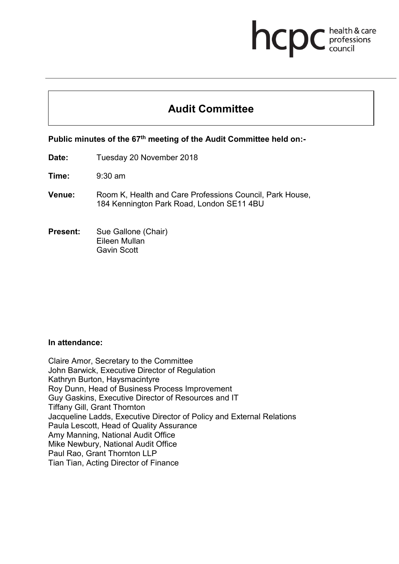# **health & care** health & care

# **Audit Committee**

## **Public minutes of the 67th meeting of the Audit Committee held on:-**

- **Date:** Tuesday 20 November 2018
- **Time:** 9:30 am
- **Venue:** Room K, Health and Care Professions Council, Park House, 184 Kennington Park Road, London SE11 4BU
- **Present:** Sue Gallone (Chair) Eileen Mullan Gavin Scott

#### **In attendance:**

Claire Amor, Secretary to the Committee John Barwick, Executive Director of Regulation Kathryn Burton, Haysmacintyre Roy Dunn, Head of Business Process Improvement Guy Gaskins, Executive Director of Resources and IT Tiffany Gill, Grant Thornton Jacqueline Ladds, Executive Director of Policy and External Relations Paula Lescott, Head of Quality Assurance Amy Manning, National Audit Office Mike Newbury, National Audit Office Paul Rao, Grant Thornton LLP Tian Tian, Acting Director of Finance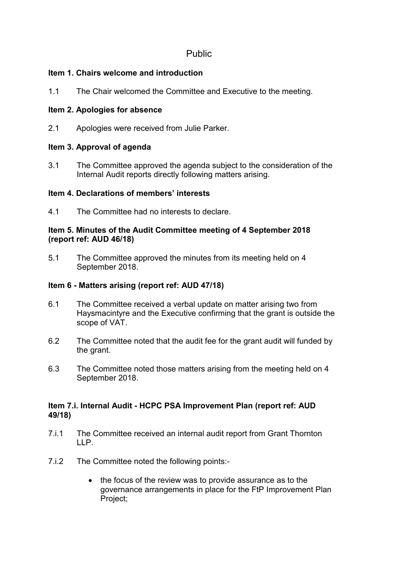# Public

# **Item 1. Chairs welcome and introduction**

1.1 The Chair welcomed the Committee and Executive to the meeting.

# **Item 2. Apologies for absence**

2.1 Apologies were received from Julie Parker.

# **Item 3. Approval of agenda**

3.1 The Committee approved the agenda subject to the consideration of the Internal Audit reports directly following matters arising.

# **Item 4. Declarations of members' interests**

4.1 The Committee had no interests to declare.

# **Item 5. Minutes of the Audit Committee meeting of 4 September 2018 (report ref: AUD 46/18)**

5.1 The Committee approved the minutes from its meeting held on 4 September 2018.

# **Item 6 - Matters arising (report ref: AUD 47/18)**

- 6.1 The Committee received a verbal update on matter arising two from Haysmacintyre and the Executive confirming that the grant is outside the scope of VAT.
- 6.2 The Committee noted that the audit fee for the grant audit will funded by the grant.
- 6.3 The Committee noted those matters arising from the meeting held on 4 September 2018.

# **Item 7.i. Internal Audit - HCPC PSA Improvement Plan (report ref: AUD 49/18)**

- 7.i.1 The Committee received an internal audit report from Grant Thornton  $\mathsf{LP}$
- 7.i.2 The Committee noted the following points:-
	- the focus of the review was to provide assurance as to the governance arrangements in place for the FtP Improvement Plan Project;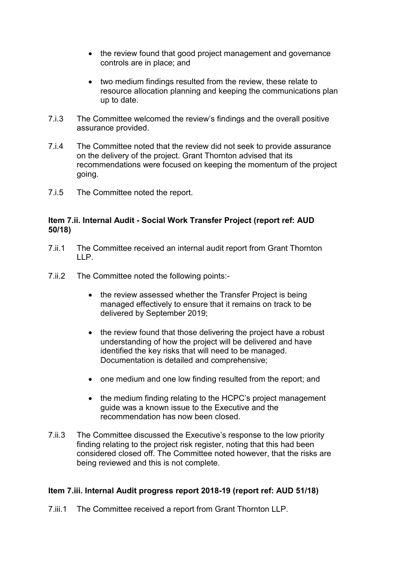- the review found that good project management and governance controls are in place; and
- two medium findings resulted from the review, these relate to resource allocation planning and keeping the communications plan up to date.
- 7.i.3 The Committee welcomed the review's findings and the overall positive assurance provided.
- 7.i.4 The Committee noted that the review did not seek to provide assurance on the delivery of the project. Grant Thornton advised that its recommendations were focused on keeping the momentum of the project going.
- 7.i.5 The Committee noted the report.

#### **Item 7.ii. Internal Audit - Social Work Transfer Project (report ref: AUD 50/18)**

- 7.ii.1 The Committee received an internal audit report from Grant Thornton LLP.
- 7.ii.2 The Committee noted the following points:-
	- the review assessed whether the Transfer Project is being managed effectively to ensure that it remains on track to be delivered by September 2019;
	- the review found that those delivering the project have a robust understanding of how the project will be delivered and have identified the key risks that will need to be managed. Documentation is detailed and comprehensive;
	- one medium and one low finding resulted from the report: and
	- the medium finding relating to the HCPC's project management guide was a known issue to the Executive and the recommendation has now been closed.
- 7.ii.3 The Committee discussed the Executive's response to the low priority finding relating to the project risk register, noting that this had been considered closed off. The Committee noted however, that the risks are being reviewed and this is not complete.

## **Item 7.iii. Internal Audit progress report 2018-19 (report ref: AUD 51/18)**

7.iii.1 The Committee received a report from Grant Thornton LLP.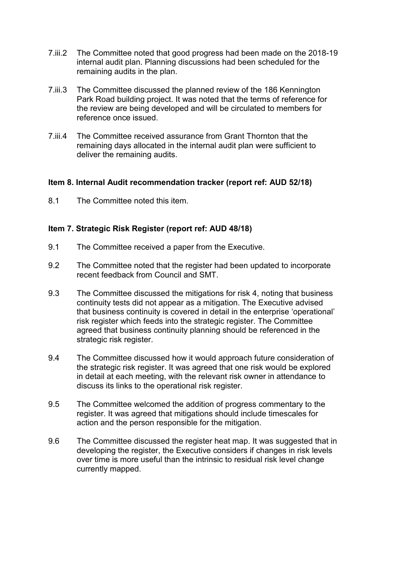- 7.iii.2 The Committee noted that good progress had been made on the 2018-19 internal audit plan. Planning discussions had been scheduled for the remaining audits in the plan.
- 7.iii.3 The Committee discussed the planned review of the 186 Kennington Park Road building project. It was noted that the terms of reference for the review are being developed and will be circulated to members for reference once issued.
- 7.iii.4 The Committee received assurance from Grant Thornton that the remaining days allocated in the internal audit plan were sufficient to deliver the remaining audits.

#### **Item 8. Internal Audit recommendation tracker (report ref: AUD 52/18)**

8.1 The Committee noted this item.

#### **Item 7. Strategic Risk Register (report ref: AUD 48/18)**

- 9.1 The Committee received a paper from the Executive.
- 9.2 The Committee noted that the register had been updated to incorporate recent feedback from Council and SMT.
- 9.3 The Committee discussed the mitigations for risk 4, noting that business continuity tests did not appear as a mitigation. The Executive advised that business continuity is covered in detail in the enterprise 'operational' risk register which feeds into the strategic register. The Committee agreed that business continuity planning should be referenced in the strategic risk register.
- 9.4 The Committee discussed how it would approach future consideration of the strategic risk register. It was agreed that one risk would be explored in detail at each meeting, with the relevant risk owner in attendance to discuss its links to the operational risk register.
- 9.5 The Committee welcomed the addition of progress commentary to the register. It was agreed that mitigations should include timescales for action and the person responsible for the mitigation.
- 9.6 The Committee discussed the register heat map. It was suggested that in developing the register, the Executive considers if changes in risk levels over time is more useful than the intrinsic to residual risk level change currently mapped.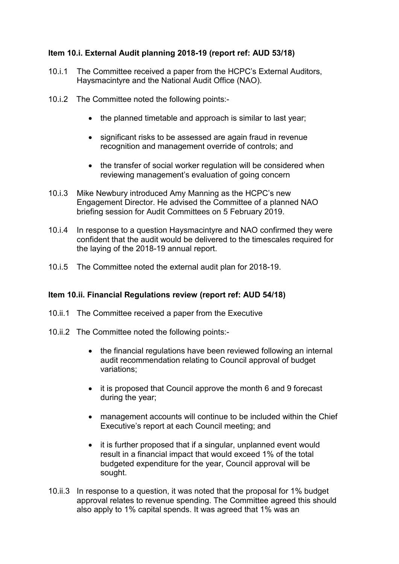## **Item 10.i. External Audit planning 2018-19 (report ref: AUD 53/18)**

- 10.i.1 The Committee received a paper from the HCPC's External Auditors, Haysmacintyre and the National Audit Office (NAO).
- 10.i.2 The Committee noted the following points:-
	- the planned timetable and approach is similar to last year;
	- significant risks to be assessed are again fraud in revenue recognition and management override of controls; and
	- the transfer of social worker regulation will be considered when reviewing management's evaluation of going concern
- 10.i.3 Mike Newbury introduced Amy Manning as the HCPC's new Engagement Director. He advised the Committee of a planned NAO briefing session for Audit Committees on 5 February 2019.
- 10.i.4 In response to a question Haysmacintyre and NAO confirmed they were confident that the audit would be delivered to the timescales required for the laying of the 2018-19 annual report.
- 10.i.5 The Committee noted the external audit plan for 2018-19.

#### **Item 10.ii. Financial Regulations review (report ref: AUD 54/18)**

- 10.ii.1 The Committee received a paper from the Executive
- 10.ii.2 The Committee noted the following points:-
	- the financial regulations have been reviewed following an internal audit recommendation relating to Council approval of budget variations;
	- it is proposed that Council approve the month 6 and 9 forecast during the year;
	- management accounts will continue to be included within the Chief Executive's report at each Council meeting; and
	- it is further proposed that if a singular, unplanned event would result in a financial impact that would exceed 1% of the total budgeted expenditure for the year, Council approval will be sought.
- 10.ii.3 In response to a question, it was noted that the proposal for 1% budget approval relates to revenue spending. The Committee agreed this should also apply to 1% capital spends. It was agreed that 1% was an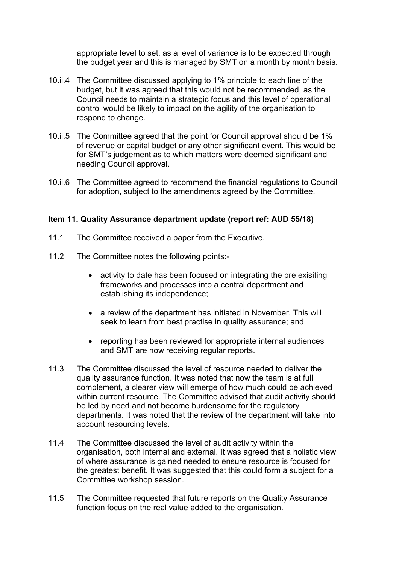appropriate level to set, as a level of variance is to be expected through the budget year and this is managed by SMT on a month by month basis.

- 10.ii.4 The Committee discussed applying to 1% principle to each line of the budget, but it was agreed that this would not be recommended, as the Council needs to maintain a strategic focus and this level of operational control would be likely to impact on the agility of the organisation to respond to change.
- 10.ii.5 The Committee agreed that the point for Council approval should be 1% of revenue or capital budget or any other significant event. This would be for SMT's judgement as to which matters were deemed significant and needing Council approval.
- 10.ii.6 The Committee agreed to recommend the financial regulations to Council for adoption, subject to the amendments agreed by the Committee.

#### **Item 11. Quality Assurance department update (report ref: AUD 55/18)**

- 11.1 The Committee received a paper from the Executive.
- 11.2 The Committee notes the following points:-
	- activity to date has been focused on integrating the pre exisiting frameworks and processes into a central department and establishing its independence;
	- a review of the department has initiated in November. This will seek to learn from best practise in quality assurance; and
	- reporting has been reviewed for appropriate internal audiences and SMT are now receiving regular reports.
- 11.3 The Committee discussed the level of resource needed to deliver the quality assurance function. It was noted that now the team is at full complement, a clearer view will emerge of how much could be achieved within current resource. The Committee advised that audit activity should be led by need and not become burdensome for the regulatory departments. It was noted that the review of the department will take into account resourcing levels.
- 11.4 The Committee discussed the level of audit activity within the organisation, both internal and external. It was agreed that a holistic view of where assurance is gained needed to ensure resource is focused for the greatest benefit. It was suggested that this could form a subject for a Committee workshop session.
- 11.5 The Committee requested that future reports on the Quality Assurance function focus on the real value added to the organisation.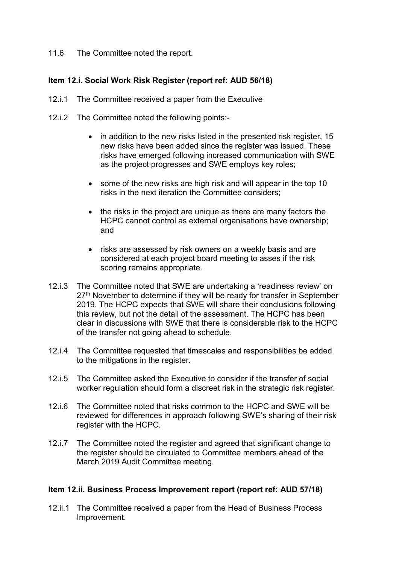11.6 The Committee noted the report.

## **Item 12.i. Social Work Risk Register (report ref: AUD 56/18)**

- 12.i.1 The Committee received a paper from the Executive
- 12.i.2 The Committee noted the following points:-
	- in addition to the new risks listed in the presented risk register, 15 new risks have been added since the register was issued. These risks have emerged following increased communication with SWE as the project progresses and SWE employs key roles;
	- some of the new risks are high risk and will appear in the top 10 risks in the next iteration the Committee considers;
	- the risks in the project are unique as there are many factors the HCPC cannot control as external organisations have ownership; and
	- risks are assessed by risk owners on a weekly basis and are considered at each project board meeting to asses if the risk scoring remains appropriate.
- 12.i.3 The Committee noted that SWE are undertaking a 'readiness review' on 27<sup>th</sup> November to determine if they will be ready for transfer in September 2019. The HCPC expects that SWE will share their conclusions following this review, but not the detail of the assessment. The HCPC has been clear in discussions with SWE that there is considerable risk to the HCPC of the transfer not going ahead to schedule.
- 12.i.4 The Committee requested that timescales and responsibilities be added to the mitigations in the register.
- 12.i.5 The Committee asked the Executive to consider if the transfer of social worker regulation should form a discreet risk in the strategic risk register.
- 12.i.6 The Committee noted that risks common to the HCPC and SWE will be reviewed for differences in approach following SWE's sharing of their risk register with the HCPC.
- 12.i.7 The Committee noted the register and agreed that significant change to the register should be circulated to Committee members ahead of the March 2019 Audit Committee meeting.

## **Item 12.ii. Business Process Improvement report (report ref: AUD 57/18)**

12.ii.1 The Committee received a paper from the Head of Business Process Improvement.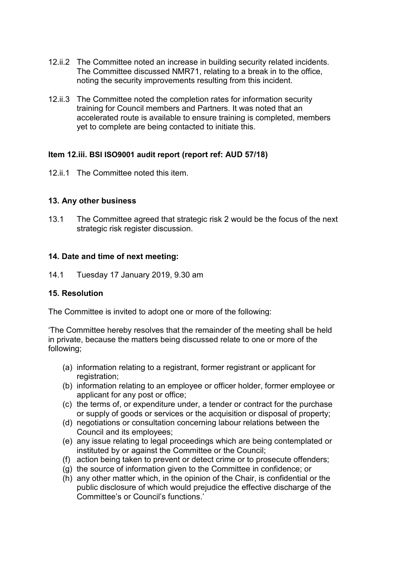- 12.ii.2 The Committee noted an increase in building security related incidents. The Committee discussed NMR71, relating to a break in to the office, noting the security improvements resulting from this incident.
- 12.ii.3 The Committee noted the completion rates for information security training for Council members and Partners. It was noted that an accelerated route is available to ensure training is completed, members yet to complete are being contacted to initiate this.

## **Item 12.iii. BSI ISO9001 audit report (report ref: AUD 57/18)**

12.ii.1 The Committee noted this item.

#### **13. Any other business**

13.1 The Committee agreed that strategic risk 2 would be the focus of the next strategic risk register discussion.

#### **14. Date and time of next meeting:**

14.1 Tuesday 17 January 2019, 9.30 am

#### **15. Resolution**

The Committee is invited to adopt one or more of the following:

'The Committee hereby resolves that the remainder of the meeting shall be held in private, because the matters being discussed relate to one or more of the following;

- (a) information relating to a registrant, former registrant or applicant for registration;
- (b) information relating to an employee or officer holder, former employee or applicant for any post or office;
- (c) the terms of, or expenditure under, a tender or contract for the purchase or supply of goods or services or the acquisition or disposal of property;
- (d) negotiations or consultation concerning labour relations between the Council and its employees;
- (e) any issue relating to legal proceedings which are being contemplated or instituted by or against the Committee or the Council;
- (f) action being taken to prevent or detect crime or to prosecute offenders;
- (g) the source of information given to the Committee in confidence; or
- (h) any other matter which, in the opinion of the Chair, is confidential or the public disclosure of which would prejudice the effective discharge of the Committee's or Council's functions.'